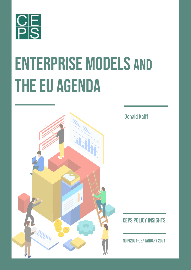

# ENTERPRISE MODELS AND THE EU AGENDA



Donald Kalff

CEPS Policy Insights

No PI2021-02/ JANUARY 2021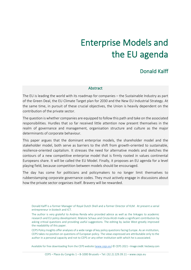## Enterprise Models and the EU agenda

### Donald Kalff

#### **Abstract**

The EU is leading the world with its roadmap for companies – the Sustainable Industry as part of the Green Deal, the EU Climate Target plan for 2030 and the New EU Industrial Strategy. At the same time, in pursuit of these crucial objectives, the Union is heavily dependent on the contribution of the private sector.

The question is whether companies are equipped to follow this path and take on the associated responsibilities. Hurdles that so far received little attention now present themselves in the realm of governance and management, organisation structure and culture as the major determinants of corporate behaviour.

This paper argues that the dominant enterprise models, the shareholder model and the stakeholder model, both serve as barriers to the shift from growth-oriented to sustainable, resilience-oriented capitalism. It stresses the need for alternative models and sketches the contours of a new competitive enterprise model that is firmly rooted in values continental Europeans share. It will be called the EU Model. Finally, it proposes an EU agenda for a level playing field, because competition between models should be encouraged.

The day has come for politicians and policymakers to no longer limit themselves to rubberstamping corporate governance codes. They must actively engage in discussions about how the private sector organises itself. Bravery will be rewarded.

Available for free downloading from the CEPS website [\(www.ceps.eu\)](about:blank) © CEPS 2021 · Image credit: Vecteezy.com

Donald Kalff is a former Manager of Royal Dutch Shell and a former Director of KLM. At present a serial entrepreneur in biotech and ICT.

The author is very grateful to Andrea Renda who provided advice as well as the linkages to academic research and EU policy development. Malorie Schaus and Cinzia Alcidi made a significant contribution by asking critical questions and providing useful suggestions. The editing by Jackie West greatly improved the readability of this paper.

CEPS Policy Insights offer analyses of a wide range of key policy questions facing Europe. As an institution, CEPS takes no position on questions of European policy. The views expressed are attributable only to the author in a personal capacity and not to CEPS or any other institution with which he is associated.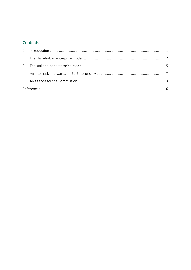#### Contents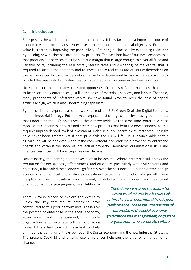#### <span id="page-3-0"></span>1. Introduction

Enterprise is the workhorse of the modern economy. It is by far the most important source of economic value; societies use enterprise to pursue social and political objectives. Economic value is created by improving the productivity of existing businesses, by expanding them and by building new businesses around new products. The cast-iron law of business economics is that products and services must be sold at a margin that is large enough to cover all fixed and variable costs, including the real costs (interest rates and dividends) of the capital that is required to sustain the company and to invest. These real costs are of course dependent on the risk perceived by the providers of capital and are determined by capital markets. A surplus is called the free cash flow. Value creation is defined as an increase in the free cash flow.

No escape, here, for the many critics and opponents of capitalism. Capital has a cost that needs to be absorbed by enterprises, just like the costs of materials, services, and labour. That said, many proponents of unfettered capitalism have found ways to keep the cost of capital artificially high, which is also undermining capitalism.

By implication, enterprise is also the workhorse of the EU's Green Deal, the Digital Economy, and the Industrial Strategy. Put simply: enterprise must change course by phasing out products that undermine the EU's objectives in these three fields. At the same time, enterprise must mobilise its capacity to innovate and create new products that befit the new economy. All this requires unprecedented levels of investment under uniquely uncertain circumstances. The risks have never been greater. Yet if enterprise fails the EU will fail. It is inconceivable that a turnaround will be achieved without the commitment and leadership provided by enterprise boards and without the stock of intellectual property, know-how, organisational skills and financial resources built by enterprises over decades.

Unfortunately, the starting point leaves a lot to be desired. Where enterprise still enjoys the reputation for decisiveness, effectiveness, and efficiency, particularly with civil servants and politicians, it has failed the economy significantly over the past decade. Under extreme benign economic and political circumstances investment growth and productivity growth were inexplicably low, innovation was unevenly distributed, and hidden and registered unemployment, despite progress, was stubbornly

high.

There is every reason to explore the extent to which the key features of enterprise have contributed to this poor performance. These are: the position of enterprise in the social economy, governance and management, corporate organisation, and corporate culture. And going forward: the extent to which these features help

There is every reason to explore the extent to which the key features of enterprise have contributed to this poor performance. These are: the position of enterprise in the social economy, governance and management, corporate organisation, and corporate culture.

or hinder the demands of the Green Deal, the Digital Economy, and the new Industrial Strategy. The present Covid-19 and ensuing economic crises heighten the urgency of fundamental change.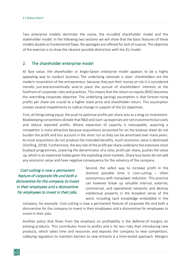Two enterprise models dominate the scene, the so-called shareholder model and the stakeholder model. In the following two sections we will show that the basic features of these models double as fundamental flaws. No apologies are offered for lack of nuance. The objective of the exercise is to draw the clearest possible distinction with the EU model.

#### <span id="page-4-0"></span>2. The shareholder enterprise model

At face value, the shareholder or Anglo-Saxon enterprise model appears to be a highly appealing way to conduct business. The underlying rationale is clear: shareholders are the modern incarnation of the entrepreneur; because they put their money at risk it is considered morally just and economically wise to place the pursuit of shareholders' interests at the forefront of corporate rules and practices. This means that the return on equity (ROE) becomes the overriding corporate objective. The underlying (wrong) assumption is that forever-rising profits per share are crucial to a higher stock price and shareholder return. This assumption creates several impediments to radical change in support of the EU objectives.

First, all things being equal, the push to optimise profits per share acts as a drag on investment. Bookkeeping conventions dictate that R&D and start-up expenses are not investments but costs and reduce reported profits. Where expansion of capacity is inescapable, acquiring a competitor is more attractive because acquisitions accounted for on the balance sheet do not burden the profit and loss account in the short run as they can be amortised over many years. As most acquisitions do not produce the intended benefits, much economic value is destroyed (Schilling, 2018). Furthermore, the key role of the profit per share underpins the extensive stock buyback programmes, Lowering the denominator of a ratio, profit per share, pushes the value up, which is an expensive hobby given the exploding stock markets. Share buy-backs do not add any economic value and have negative consequence for the solvency of the company.

Cost-cutting is now a permanent feature of corporate life and both a disincentive for the company to invest in their employees and a disincentive for employees to invest in their jobs.

Second, the safest way to increase profit in the shortest possible time is cost-cutting  $-$  often synonymous with manpower reduction. This practice can however break up valuable internal, external, commercial, and operational networks and destroy intellectual property in the broadest sense of the word, including tacit knowledge embedded in the

company, for example. Cost-cutting is now a permanent feature of corporate life and both a disincentive for the company to invest in their employees and a disincentive for employees to invest in their jobs.

Another policy that flows from the emphasis on profitability is the defence of margins on existing products. This contributes more to profits and is far less risky than introducing new products, which takes time and resources and exposes the company to new competitors. Lobbying regulators to maintain barriers to new entrants is a time-tested approach. Mergers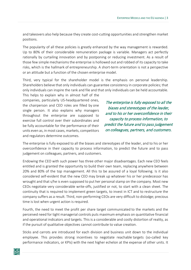and takeovers also help because they create cost-cutting opportunities and strengthen market positions.

The popularity of all these policies is greatly enhanced by the way management is rewarded. Up to 80% of their considerable remuneration package is variable. Managers act perfectly rationally by curtailing innovation and by postponing or reducing investment. As a result of those few simple mechanisms the enterprise is hollowed out and robbed of its capacity to take risks, which is the hallmark of entrepreneurship. A short-term orientation is not a perspective or an attitude but a function of the chosen enterprise model.

Third, very typical for the shareholder model is the emphasis on personal leadership. Shareholders believe that only individuals can guarantee consistency in corporate policies; that only individuals can inspire the rank and file and that only individuals can be held accountable.

This helps to explain why in almost half of the companies, particularly US-headquartered ones, the chairperson and CEO roles are filled by one single person. It also explains why managers throughout the enterprise are supposed to exercise full control over their subordinates and be fully accountable for the performance of their units even as, in most cases, markets, competitors and regulators determine outcomes.

The enterprise is fully exposed to all the biases and stereotypes of the leader, and to his or her overconfidence in their capacity to process information, to predict the future and to pass judgement on colleagues, partners, and customers.

The enterprise is fully exposed to all the biases and stereotypes of the leader, and to his or her overconfidence in their capacity to process information, to predict the future and to pass judgement on colleagues, partners, and customers.

Endowing the CEO with such power has three other major disadvantages. Each new CEO feels entitled and is granted the opportunity to build their own team, replacing anywhere between 20% and 80% of the top management. All this to be assured of a loyal following. Is it also considered self-evident that the new CEO may break up whatever his or her predecessor has wrought and that s/he is even supposed to put her personal stamp on the company. Most new CEOs negotiate very considerable write-offs, justified or not, to start with a clean sheet. The continuity that is required to implement green targets, to invest in ICT and to restructure the company suffers as a result. Third, non-performing CEOs are very difficult to dislodge; precious time is lost when urgent action is required.

Fourth, the need to meet the profit per share target communicated to the markets and the perceived need for tight managerial controls puts maximum emphasis on quantitative financial and operational indicators and targets. This is a considerable and costly distortion of reality, as if the pursuit of qualitative objectives cannot contribute to value creation.

Sticks and carrots are introduced for each division and business unit down to the individual employee. This provides strong incentives to negotiate reachable targets (so-called key performance indicators, or KPIs) with the next higher echelon at the expense of other units. It

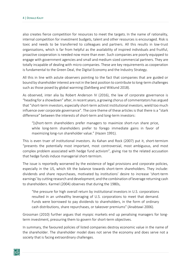also creates fierce competition for resources to meet the targets. In the name of rationality, internal competition for investment budgets, talent and other resources is encouraged. Risk is toxic and needs to be transferred to colleagues and partners. All this results in low-trust organisations, which is far from helpful as the availability of inspired individuals and fruitful, proactive cooperation is needed now more than ever. Such companies are poorly equipped to engage with government agencies and small and medium sized commercial partners. They are totally incapable of dealing with micro companies. These are key requirements as cooperation is fundamental to the Green Deal, the Digital Economy and the Industry Strategy.

All this in line with astute observers pointing to the fact that companies that are guided or bound by shareholder interest are not in the best position to contribute to long-term challenges such as those posed by global warming (Dahlberg and Wiklund 2018).

As observed, inter alia by Robert Anderson IV (2016), the law of corporate governance is "heading for a showdown" after, in recent years, a growing chorus of commentators has argued that "short-term investors, especially short-term activist institutional investors, wield too much influence over corporate governance". The core theme of these articles is that there is a "stark difference" between the interests of short-term and long-term investors:

"[s]hort-term shareholders prefer managers to maximize short-run share price, while long-term shareholders prefer to forego immediate gains in favor of maximizing long-run shareholder value." (Hazen 1991).

This is even truer of institutional investors. As Kahan and Rock (2007) put it, short-termism "presents the potentially most important, most controversial, most ambiguous, and most complex problem associated with hedge fund activism", giving rise to the related accusation that hedge funds induce managerial short-termism.

The issue is reportedly worsened by the existence of legal provisions and corporate policies, especially in the US, which tilt the balance towards short-term shareholders. They include: dividends and share repurchases, motivated by institutions' desire to increase 'short-term earnings' by cutting research and development; and the combination of leverage returning cash to shareholders. Karmel (2004) observes that during the 1980s,

"the pressure for high overall return by institutional investors in U.S. corporations resulted in an unhealthy leveraging of U.S. corporations to meet that demand. Funds were borrowed to pay dividends to shareholders, in the form of ordinary cash distributions, share repurchases, or takeover premiums" (Anabtawi 2006).

Grossman (2010) further argues that myopic markets end up penalising managers for longterm investment, pressuring them to govern for short-term objectives.

In summary, the favoured policies of listed companies destroy economic value in the name of the shareholder. The shareholder model does not serve the economy and does serve not a society that is facing extraordinary challenges.

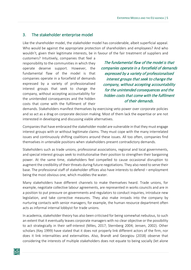#### <span id="page-7-0"></span>3. The stakeholder enterprise model

Like the shareholder model, the stakeholder model has considerable, albeit superficial appeal. Who would be against the appropriate protection of shareholders and employees? And who wouldn't, given their legitimate interests, be in favour of the fair treatment of suppliers and

customers? Intuitively, companies that feel a responsibility to the communities in which they operate deserve support. However, the fundamental flaw of the model is that companies operate in a forcefield of demands expressed by a variety of professionalised interest groups that seek to change the company, without accepting accountability for the unintended consequences and the hidden costs that come with the fulfilment of their

The fundamental flaw of the model is that companies operate in a forcefield of demands expressed by a variety of professionalised interest groups that seek to change the company, without accepting accountability for the unintended consequences and the hidden costs that come with the fulfilment of their demands.

demands. Stakeholders manifest themselves by exercising veto power over corporate policies and so act as a drag on corporate decision making. Most of them lack the expertise or are not interested in developing and discussing viable alternatives.

Companies that have embraced the stakeholder model are vulnerable in that they must engage interest groups with or without legitimate claims. They must cope with the many interrelated issues and continuously shifting coalitions around these issues. All too often, companies find themselves in untenable positions when stakeholders present contradictory demands.

Stakeholders such as trade unions, professional associations, regional and local governments, and special interest groups seek to institutionalise their position to strengthen their bargaining power. At the same time, stakeholders feel compelled to cause occasional disruption to augment the credibility of their threats during future negotiations. They also need to serve their base. The professional staff of stakeholder offices also have interests to defend – employment being the most obvious one, which muddies the water.

Many stakeholders have different channels to make themselves heard. Trade unions, for example, negotiate collective labour agreements, are represented in works councils and are in a position to put pressure on governments and regulators to conduct inquiries, introduce new legislation, and take corrective measures. They also make inroads into the company by nurturing contacts with senior managers; for example, the human resource department often acts as informal internal lobbyist for trade unions.

In academia, stakeholder theory has also been criticised for being somewhat nebulous, to such an extent that it eventually leaves corporate managers with no clear objective or the possibility to act strategically in their self-interest (Miles, 2017; Sternberg 2004; Jensen, 2002). Other scholars (Key 1999) have stated that it does not properly link different actors of the firm, nor does it link internalities and externalities. Also, Brandt and Georgiou (2018) observe that considering the interests of multiple stakeholders does not equate to being socially (let alone

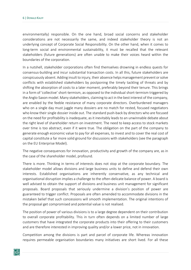environmentally) responsible. On the one hand, broad social concerns and stakeholder considerations are not necessarily the same, and indeed stakeholder theory is not an underlying concept of Corporate Social Responsibility. On the other hand, when it comes to long-term social and environmental sustainability, it must be recalled that the relevant stakeholders (future generations) are often unable to make their voices heard within the boundaries of the corporation.

In a nutshell, stakeholder corporations often find themselves drowning in endless quests for consensus-building and incur substantial transaction costs. In all this, future stakeholders are conspicuously absent. Adding insult to injury, their absence helpsmanagement prevent or solve conflicts with established stakeholders by postponing the timely tackling of threats and by shifting the absorption of costs to a later moment, preferably beyond their tenure. This brings in a form of 'collective' short-termism, as opposed to the individual short-termism triggered by the Anglo-Saxon model. Many stakeholders, claiming to act in the best interest of the company, are enabled by the feeble resistance of many corporate directors. Overburdened managers who on a single day must juggle many dossiers are no match for rested, focused negotiators who know their single dossier inside out. The standard push-back by directors who are focused on the need for profitability is inadequate, as it inevitably leads to an unwinnable debate about the right level of shareholder return on investment. The need to keep access to stock markets over time is too abstract, even if it were true. The obligation on the part of the company to generate enough economic value to pay for all expenses, to invest and to cover the real cost of capital constitute a far more solid ground for discussions with stakeholders (see the paragraph on the EU Enterprise Model).

The negative consequences for innovation, productivity and growth of the company are, as in the case of the shareholder model, profound.

There is more. Thinking in terms of interests does not stop at the corporate boundary. The stakeholder model allows divisions and large business units to define and defend their own interests. Established organisations are inherently conservative, as any technical and organisational disruption implies a challenge to the often-delicate balance of power. A board is well advised to obtain the support of divisions and business unit management for significant proposals. Board proposals that seriously undermine a division's position of power are guaranteed to trigger conflict. Proposals are often amended to accommodate divisions in the mistaken belief that such concessions will smooth implementation. The original intentions of the proposal get compromised and potential value is not realised.

The position of power of various divisions is to a large degree dependent on their contribution to overall corporate profitability. This in turn often depends on a limited number of large customers that have integrated the corporate products into their offering to their customers and are therefore interested in improving quality and/or a lower price, not in innovation.

Competition among the divisions is part and parcel of corporate life. Whereas innovation requires permeable organisation boundaries many initiatives are short lived. For all these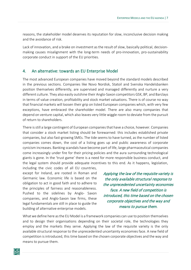reasons, the stakeholder model deserves its reputation for slow, inconclusive decision making and the avoidance of risk.

Lack of innovation, and a brake on investment as the result of slow, basically political, decisionmaking causes misalignment with the long-term needs of pro-innovation, pro-sustainability corporate conduct in support of the EU priorities.

#### <span id="page-9-0"></span>4. An alternative: towards an EU Enterprise Model

The most advanced European companies have moved beyond the standard models described in the previous sections. Companies like Novo Nordisk, Statoil and Svenska Handelsbanken position themselves differently, are supervised and managed differently and nurture a very different culture. They also easily outshine their Anglo-Saxon competitors GSK, BP, and Barclays in terms of value creation, profitability and stock market valuations. There is of course no way that financial markets will loosen their grip on listed European companies which, with very few exceptions, have embraced the shareholder model. There are also many companies that depend on venture capital, which also leaves very little wiggle room to deviate from the pursuit of return to shareholders.

There is still a large contingent of European companies that have a choice, however. Companies that consider a stock market listing should be forewarned: this includes established private companies, but also fast-growing SMEs. The tide seems to have turned, as the number of listed companies comes down, the cost of a listing goes up and public awareness of corporate cynicism increases. Banking scandals have become part of life, large pharmaceutical companies come increasingly under fire for their pricing policies and the aura surrounding technological giants is gone. In the 'trust game' there is a need for more responsible business conduct, and the legal system should provide adequate incentives to this end. As it happens, legislation,

including the civic codes of all EU countries, except for Ireland, are rooted in Roman and Germanic law. Economic life is based on the obligation to act in good faith and to adhere to the principles of fairness and reasonableness. Pushed to the sidelines by Anglo- Saxon companies, and Anglo-Saxon law firms, these legal fundamentals are still in place to guide the building of alternative enterprise models.

Applying the law of the requisite variety is the only available structural response to the unprecedented uncertainty economies face. A new field of competition is introduced, this time based on the chosen corporate objectives and the way and means to pursue them.

What we define here as the EU Model is a framework companies can use to position themselves and to design their organisations depending on their societal role, the technologies they employ and the markets they serve. Applying the law of the requisite variety is the only available structural response to the unprecedented uncertainty economies face. A new field of competition is introduced, this time based on the chosen corporate objectives and the way and means to pursue them.

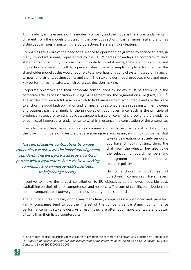This flexibility is the essence of the modern company and the model is therefore fundamentally different from the models discussed in the previous sections. It is far more resilient, and has distinct advantages in pursuing the EU objectives. Here are its key features.

Companies are aware of the need for a licence to operate to be granted by society at large, in many important arenas, represented by the EU. Whereas nowadays all corporate mission statements contain lofty promises to contribute to societal needs, these are non-binding, and in practice are very difficult to operationalise. There is simply no place for them in the shareholder model as this would require a total overhaul of a control system based on financial targets for divisions, business units and staff. The stakeholder model produces more and more key performance indicators, which paralyses decision making.

Corporate objectives and their corporate contributions to society must be taken up in the corporate articles of association guiding management and the organisation alike (Kalff, 2009)<sup>[1](#page-10-0)</sup>. The articles provide a solid base on which to hold management accountable and are the place to anchor the good faith obligation and fairness and reasonablenessin dealing with employees and business partners. Similarly, the principles of good governance, such as the principle of prudence, respect for existing policies, sanctions based on convincing proof and the avoidance of conflict of interest are fundamental to what is in essence the constitution of the enterprise.

Crucially, the articles of association serve communication with the providers of capital and help the growing numbers of investors that are pouring ever-increasing sums into companies that

The sum of specific contributions by unique companies will outweigh the imposition of general standards. The enterprise is already a contract partner with a legal status, but it is also a working community and an indispensable institution to help change society.

take value creation for society seriously, but have difficulty distinguishing the chaff from the wheat. They also guide the selection of board members and management and inform human resource policies.

Having anchored a broad set of objectives, companies have every

incentive to make the largest contribution to EU objectives at the lowest possible cost, capitalising on their distinct competences and resources. The sum of specific contributions by unique companies will outweigh the imposition of general standards.

The EU model draws heavily on the way many family companies are positioned and managed. Family companies tend to put the interest of the company centre stage, not its finance performance or its stakeholders. As a result, they are often both more profitable and better citizens than their listed counterparts.

<span id="page-10-0"></span> $1$  The proposal to use the articles of association to broaden the corporate objectives was launched by Donald Kalff in *Modern Kapitalisme, alternatieve grondslagen voor grote ondernemingen* (2009) pp 83-85, Uitgeverij Business Contact (ISBN 9789047002086 2009).

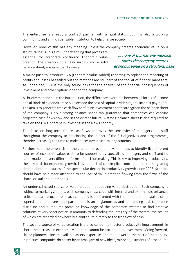The enterprise is already a contract partner with a legal status, but it is also a working community and an indispensable institution to help change society.

However, none of this has any meaning unless the company creates economic value on a

structural basis. It is a misunderstanding that profits are essential for corporate continuity. Economic value creation, the creation of a cash surplus and a solid balance sheet, are essential, however.

... none of this has any meaning unless the company creates economic value on a structural basis.

A major push to introduce EVA (Economic Value Added) reporting to replace the reporting of profits and losses has failed but the methods are still part of the toolkit of finance managers. As underlined, EVA is the only sound basis for the analysis of the financial consequences of investment and other options open to the company.

As briefly mentioned in the introduction, the difference over time between all forms of income and all kinds of expenditure should exceed the cost of capital, dividends, and interest payments. The aim is to generate free cash flow for future investment and to strengthen the balance sheet of the company. Only a strong balance sheet can guarantee that companies can capture projected cash flows now and in the distant future. A strong balance sheet is also required to take on the risks inherent in investing in the New Economy.

The focus on long-term future cashflows improves the sensitivity of managers and staff throughout the company to anticipating the impact of the EU objectives and programmes, thereby increasing the time to make necessary structural adjustments.

Furthermore, the emphasis on the creation of economic value helps to identify five different sources of economic value, each to be supported by specialised managers and staff and by tailor-made and very different forms of decision making. This is key to improving productivity, the only basis for economic growth. This outline is also an implicit contribution to the stagnating debate about the causes of the spectacular decline in productivity growth since 2008. Scholars should have paid more attention to the lack of value creation flowing from the flaws of the share- or stakeholder models.

An underestimated source of value creation is reducing value destruction. Each company is subject to market gyrations, each company must cope with internal and external disturbances to its standard procedures, each company is confronted with the operational mistakes of its supervisors, employees and partners. It is an unglamorous and demanding task to impose discipline and it requires profound knowledge of the corporate systems to find creative solutions at very short notice. It amounts to defending the integrity of the system, the results of which are recorded nowhere but contribute directly to the free flow of cash.

The second source of value creation is the so-called multifactor productivity improvement; in short, the increase in economic value that cannot be attributed to investment. Going forward, skilled planners allocate available assets, expertise, and manpower to the best of their ability. In practice companies do better by an amalgam of new ideas, minor adjustments of procedures

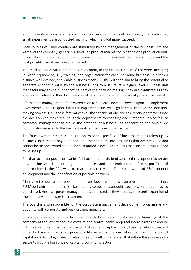and information flows, and new forms of cooperation. In a healthy company many informal, small experiments are conducted, many of which fail, but many succeed.

Both sources of value creation are stimulated by the management of the business unit, the kernel of the company, generally a so-called product market combination or a production unit. It is all about the realisation of the potential of the unit, its underlying business model and the best possible use of manpower and assets.

The third source of value creation is investment, in the broadest sense of the word. Investing in plant, equipment, ICT, training, and organisation for each individual business unit with a distinct, well-defined, and viable business model. All this with the aim to bring the potential to generate economic value by the business units to a structurally higher level. Business unit managers may advise but cannot be part of the decision making. They are conflicted as they are paid to believe in their business models and stand to benefit personally from investments.

It falls to the management of the corporation to conceive, develop, decide upon and implement investments. Their responsibility for implementation will significantly improve the decisionmaking process. Only those familiar with all the considerations and assumptions that went into the decision can make the inevitable adjustments to changing circumstances. It also falls to corporate management to realise the potential of business unit cooperation and to provide good quality services to the business units at the lowest possible cost.

The fourth way to create value is to optimise the portfolio of business models taken up by business units that at any point populate the company. Business units that destroy value and cannot be turned around need to be dismantled. New business units that can create value need to be set up.

For that latter purpose, companies fall back on a portfolio of so-called real options to create new businesses. The building, maintenance, and the enrichment of this portfolio of opportunities is the fifth way to create economic value. This is the world of R&D, product development and the identification of possible partners.

Managing the portfolio of present and future business models is an entrepreneurial function. EU Model entrepreneurship is, like in family companies, brought back to where it belongs: to board level. Here, corporate management is conflicted as they are biased to seek expansion of the company and bolster their careers.

The board is also responsible for the corporate management development programme and appoints both corporate and business unit managers.

It is already established practice that boards take responsibility for the financing of the company at the lowest possible costs. When central banks keep real interest rates at around 0%, the conclusion must be that the cost of capital is kept artificially high. Calculating the cost of capital based on past stock price volatility helps the providers of capital, basing the cost of capital on historic high rates of return is easy. Fuelling narratives that inflate the riskiness of a sector to justify a high price of capital is common practice.

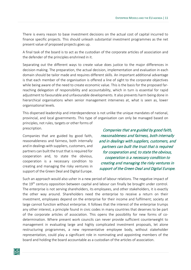There is every reason to base investment decisions on the actual cost of capital incurred to finance specific projects. This should unleash substantial investment programmes as the net present value of proposed projects goes up.

A final task of the board is to act as the custodian of the corporate articles of association and the defender of the principles enshrined in it.

Separating out the different ways to create value does justice to the major differences in decision making. The preparation, the actual decision, implementation and evaluation in each domain should be tailor made and requires different skills. An important additional advantage is that each member of the organisation is offered a line of sight to the corporate objectives while being aware of the need to create economic value. This is the basis for the proposed farreaching delegation of responsibility and accountability, which in turn is essential for rapid adjustment to favourable and unfavourable developments. It also prevents harm being done in hierarchical organisations when senior management intervenes at, what is seen as, lower organisational levels.

This dispersed leadership and interdependence is not unlike the unique mandates of national, provincial, and local governments. This type of organisation can only be managed based on principles, not rules, targets or other forms of prescription.

Companies that are guided by good faith, reasonableness and fairness, both internally and in dealings with suppliers, customers, and partners can built the trust that is required for cooperation and, to state the obvious, cooperation is a necessary condition to creating and managing the risky ventures in support of the Green Deal and Digital Europe.

Companies that are guided by good faith, reasonableness and fairness, both internally and in dealings with suppliers, customers, and partners can built the trust that is required for cooperation and, to state the obvious, cooperation is a necessary condition to creating and managing the risky ventures in support of the Green Deal and Digital Europe.

Such an approach would also usher in a new period of labour relations. The negative impact of the 19<sup>th</sup> century opposition between capital and labour can finally be brought under control. The enterprise is not serving shareholders, its employees, and other stakeholders, it is exactly the other way around. Shareholders need the enterprise to receive a return on their investment, employees depend on the enterprise for their income and fulfilment; society at large cannot function without enterprise. It follows that the interest of the enterprise trumps any other interest, a principle found in civic codes in many countries that deserves to be part of the corporate articles of association. This opens the possibility for new forms of codetermination. Where present work councils can never provide sufficient counterweight to management in evaluating large and highly complicated investment proposals, let alone restructuring programmes, a new representative employee body, without stakeholder representation, could play a significant role in nominating and appointing members of the board and holding the board accountable as a custodian of the articles of association.

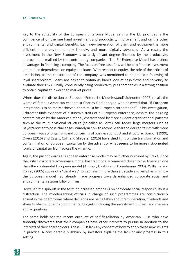Key to the suitability of the European Enterprise Model serving the EU priorities is the confluence of on the one hand investment and productivity improvement and on the other environmental and digital benefits. Each new generation of plant and equipment is more efficient, more environmentally friendly, and more digitally advanced. As a result, the investment in the New Economy is to a significant degree financed by the productivity improvement realised by the contributing companies. The EU Enterprise Model has distinct advantages in financing a company. The focus on free cash flow will help to finance investment and reduce dependence on equity and loans. With respect to equity, the role of the articles of association, as the constitution of the company, was mentioned to help build a following of loyal shareholders. Loans are easier to obtain as banks look at cash flows and solvency to evaluate their risks. Finally, consistently rising productivity puts companies in a strong position to obtain capital at lower than market prices.

Where does the discussion on European Enterprise Models stand? Schroeter (2007) recalls the words of famous American economist Charles Kindleberger, who observed that "If European integration is to be really achieved, there must be European corporations". In his investigation, Schroeter finds evidence of distinctive traits of a European enterprise, despite the ongoing contamination by the American model, characterised by more evident organisational patterns such as the multi-divisional structure (so-called M-Form). Still today, large mergers such as Bayer/Monsanto pose challenges, namely in how to reconcile shareholder capitalism with more European ways of organising and conceiving of business conduct and structure. Gordon (1999), Owen (2016) and Cassis, Colli and Shroeter (2016) have shed light on the transformation and contamination of European capitalism by the advent of what seems to be more risk-oriented forms of capitalism from across the Atlantic.

Again, the push towards a European enterprise model may be further nurtured by Brexit, since the British corporate governance model has traditionally remained closer to the American one than the continental European model (Armour, Deakin and Konzelmann 2003). Williams and Conley (2005) spoke of a "third way" to capitalism more than a decade ago, emphasising how the European model had already made progress towards enhanced corporate social and environmental responsibility of firms.

However, the spin-off in the form of increased emphasis on corporate social responsibility is a distraction. The middle-ranking officials in charge of such programmes are conspicuously absent in the boardrooms where decisions are being taken about remuneration, dividends and share buybacks, board appointments, budgets including the investment budget, and mergers and acquisitions.

The same holds for the recent outburst of self-flagellation by American CEOs who have suddenly discovered that their companies have other interests to pursue in addition to the interests of their shareholders. These CEOs lack any concept of how to apply these new insights in practice. A considerable pushback by investors explains the lack of any progress in this setting.

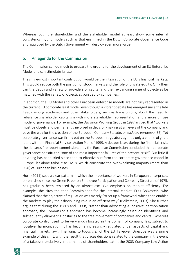Whereas both the shareholder and the stakeholder model at least show some internal consistency, hybrid models such as that enshrined in the Dutch Corporate Governance Code and approved by the Dutch Government will destroy even more value.

#### <span id="page-15-0"></span>5. An agenda for the Commission

The Commission can do much to prepare the ground for the development of an EU Enterprise Model and can stimulate its use.

The single-most important contribution would be the integration of the EU's financial markets. This would reduce both the position of stock markets and the role of private equity. Only then can the depth and variety of providers of capital and their expanding range of objectives be matched with the variety of objectives pursued by companies.

In addition, the EU Model and other European enterprise models are not fully represented in the current EU corporate legal model, even though a vibrant debate has emerged since the late 1990s among academics and other stakeholders, such as trade unions, about the need to rebalance shareholder capitalism with more stakeholder representation and a more diffuse model of governance. For example, the Davignon Working Group in 1997 argued that "workers must be closely and permanently involved in decision-making at all levels of the company and pave the way for the creation of the European Company Statute, or *societas europaea* (SE). Yet corporate governance was firmly put on the European regulatory agenda only a couple of years later, with the Financial Services Action Plan of 1999. A decade later, during the financial crisis, the de Larosière report commissioned by the European Commission concluded that corporate governance constituted "one of the most important failures of the present crisis". But little if anything has been tried since then to effectively reform the corporate governance model in Europe, let alone tailor it to SMEs, which constitute the overwhelming majority (more than 98%) of European businesses.

Horn (2011) sees a clear pattern in which the importance of workers in European enterprises, emphasised since the Green Paper on Employee Participation and Company Structure of 1975, has gradually been replaced by an almost exclusive emphasis on market efficiency. For example, she cites the then-Commissioner for the Internal Market, Frits Bolkestein, who claimed that the objective of regulation was merely "to set up a framework which then enables the markets to play their disciplining role in an efficient way" (Bolkestein, 2003). She further argues that during the 1980s and 1990s, "rather than advocating a 'positive' harmonization approach, the Commission's approach has become increasingly based on identifying and subsequently eliminating obstacles to the free movement of companies and capital. Whereas corporate control used to be very much located in the domain of company law, subject to 'positive' harmonization, it has become increasingly regulated under aspects of capital and financial markets law". The long, tortuous *iter* of the EU Takeover Directive was a prime example of this shift, with the result that places decisions related to the company in the event of a takeover exclusively in the hands of shareholders. Later, the 2003 Company Law Action

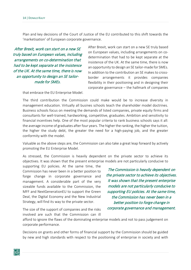Plan and key decisions of the Court of Justice of the EU contributed to this shift towards the 'marketisation' of European corporate governance.

After Brexit, work can start on a new SE truly based on European values, including arrangements on co-determination that had to be kept separate at the insistence of the UK. At the same time, there is now an opportunity to design an SE tailormade for SMEs.

After Brexit, work can start on a new SE truly based on European values, including arrangements on codetermination that had to be kept separate at the insistence of the UK. At the same time, there is now an opportunity to design an SE tailor-made for SMEs. In addition to the contribution an SE makes to crossborder arrangements it provides companies flexibility in their positioning and in designing their corporate governance – the hallmark of companies

that embrace the EU Enterprise Model.

The third contribution the Commission could make would be to increase diversity in management education. Virtually all busines schools teach the shareholder model doctrines. Business schools focus on meeting the demands of listed companies, private equity firms and consultants for well-trained, hardworking, competitive, graduates. Ambition and sensitivity to financial incentives help. One of the most popular criteria to rank business schools says it all: the average income of graduates after four years. The higher the ranking, the higher the tuition, the higher the study debt, the greater the need for a high-paying job, and the greater conformity with the model.

Valuable as the above steps are, the Commission can also take a great leap forward by actively promoting the EU Enterprise Model.

As stressed, the Commission is heavily dependent on the private sector to achieve its objectives. It was shown that the present enterprise models are not particularly conducive to

supporting EU policies. At the same time, the Commission has never been in a better position to forge change in corporate governance and management. A considerable part of the very sizeable funds available to the Commission, the MFF and NextGenerationEU to support the Green Deal, the Digital Economy and the New Industrial Strategy, will find its way to the private sector.

The size of the support of companies and the risks involved are such that the Commission can ill

The Commission is heavily dependent on the private sector to achieve its objectives. It was shown that the present enterprise models are not particularly conducive to supporting EU policies. At the same time, the Commission has never been in a better position to forge change in corporate governance and management.

afford to ignore the flaws of the dominating enterprise models and not to pass judgement on corporate performance.

Decisions on grants and other forms of financial support by the Commission should be guided by new and high standards with respect to the positioning of enterprise in society and with

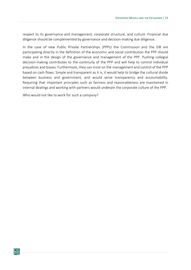respect to its governance and management, corporate structure, and culture. Financial due diligence should be complemented by governance and decision-making due diligence.

In the case of new Public Private Partnerships (PPPs) the Commission and the EIB are participating directly in the definition of the economic and social contribution the PPP should make and in the design of the governance and management of the PPP. Pushing collegial decision-making contributes to the continuity of the PPP and will help to control individual prejudices and biases. Furthermore, they can insist on the management and control of the PPP based on cash flows. Simple and transparent as it is, it would help to bridge the cultural divide between business and government, and would serve transparency and accountability. Requiring that important principles such as fairness and reasonableness are maintained in internal dealings and working with partners would underpin the corporate culture of the PPP.

Who would not like to work for such a company?